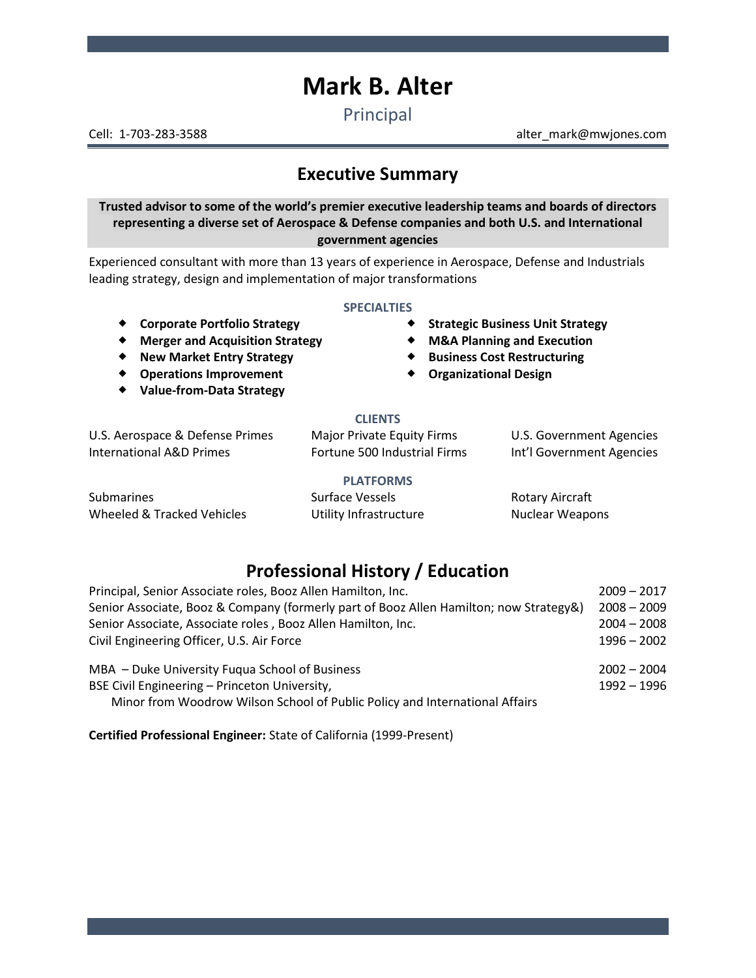# **Mark B. Alter**

Principal

Cell: 1-703-283-3588 alter\_mark@mwjones.com

# **Executive Summary**

**Trusted advisor to some of the world's premier executive leadership teams and boards of directors representing a diverse set of Aerospace & Defense companies and both U.S. and International government agencies**

Experienced consultant with more than 13 years of experience in Aerospace, Defense and Industrials leading strategy, design and implementation of major transformations

#### **SPECIALTIES**

- 
- **Merger and Acquisition Strategy M&A Planning and Execution**
- 
- **Operations Improvement**
- **Value-from-Data Strategy**
- **Corporate Portfolio Strategy Strategic Business Unit Strategy**
	-
- **New Market Entry Strategy Business Cost Restructuring**
	- **Organizational Design**

#### **CLIENTS**

U.S. Aerospace & Defense Primes Major Private Equity Firms U.S. Government Agencies International A&D Primes Fortune 500 Industrial Firms Int'l Government Agencies

#### **PLATFORMS**

Submarines Surface Vessels Rotary Aircraft Wheeled & Tracked Vehicles **Nuclear Weapons** Utility Infrastructure **Nuclear Weapons** 

## **Professional History / Education**

| Principal, Senior Associate roles, Booz Allen Hamilton, Inc.<br>Senior Associate, Booz & Company (formerly part of Booz Allen Hamilton; now Strategy&)<br>Senior Associate, Associate roles, Booz Allen Hamilton, Inc. | $2009 - 2017$<br>$2008 - 2009$<br>$2004 - 2008$ |                                                |               |
|------------------------------------------------------------------------------------------------------------------------------------------------------------------------------------------------------------------------|-------------------------------------------------|------------------------------------------------|---------------|
|                                                                                                                                                                                                                        |                                                 | Civil Engineering Officer, U.S. Air Force      | $1996 - 2002$ |
|                                                                                                                                                                                                                        |                                                 | MBA - Duke University Fugua School of Business | $2002 - 2004$ |
| BSE Civil Engineering - Princeton University,                                                                                                                                                                          | $1992 - 1996$                                   |                                                |               |
| Minor from Woodrow Wilson School of Public Policy and International Affairs                                                                                                                                            |                                                 |                                                |               |

**Certified Professional Engineer:** State of California (1999-Present)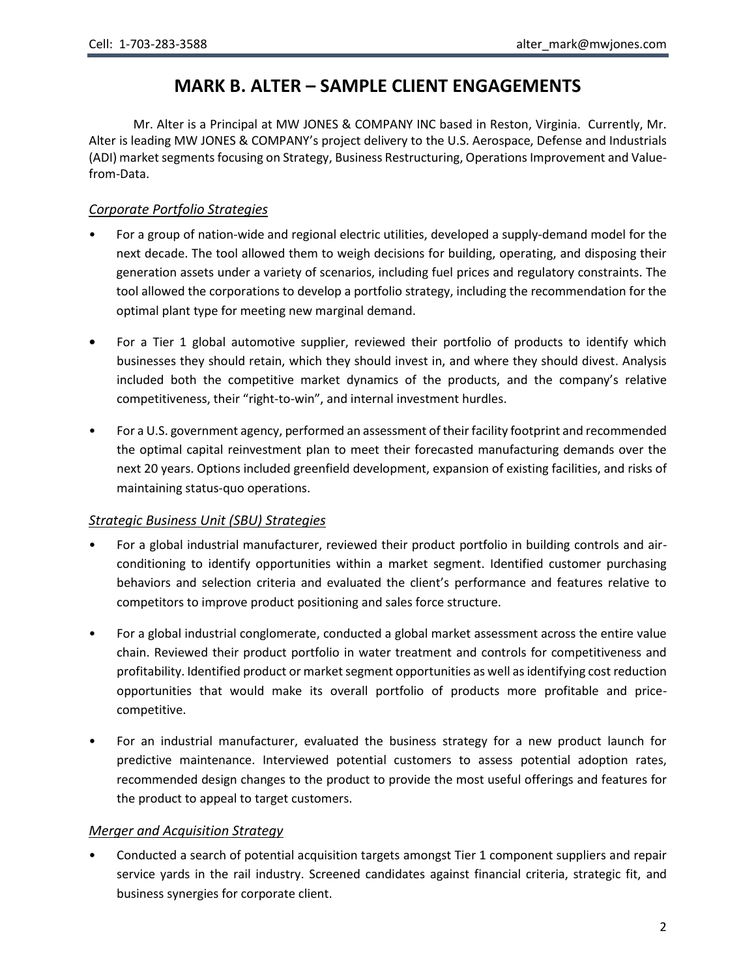# **MARK B. ALTER – SAMPLE CLIENT ENGAGEMENTS**

Mr. Alter is a Principal at MW JONES & COMPANY INC based in Reston, Virginia. Currently, Mr. Alter is leading MW JONES & COMPANY's project delivery to the U.S. Aerospace, Defense and Industrials (ADI) market segments focusing on Strategy, Business Restructuring, Operations Improvement and Valuefrom-Data.

## *Corporate Portfolio Strategies*

- For a group of nation-wide and regional electric utilities, developed a supply-demand model for the next decade. The tool allowed them to weigh decisions for building, operating, and disposing their generation assets under a variety of scenarios, including fuel prices and regulatory constraints. The tool allowed the corporations to develop a portfolio strategy, including the recommendation for the optimal plant type for meeting new marginal demand.
- **•** For a Tier 1 global automotive supplier, reviewed their portfolio of products to identify which businesses they should retain, which they should invest in, and where they should divest. Analysis included both the competitive market dynamics of the products, and the company's relative competitiveness, their "right-to-win", and internal investment hurdles.
- For a U.S. government agency, performed an assessment of their facility footprint and recommended the optimal capital reinvestment plan to meet their forecasted manufacturing demands over the next 20 years. Options included greenfield development, expansion of existing facilities, and risks of maintaining status-quo operations.

### *Strategic Business Unit (SBU) Strategies*

- For a global industrial manufacturer, reviewed their product portfolio in building controls and airconditioning to identify opportunities within a market segment. Identified customer purchasing behaviors and selection criteria and evaluated the client's performance and features relative to competitors to improve product positioning and sales force structure.
- For a global industrial conglomerate, conducted a global market assessment across the entire value chain. Reviewed their product portfolio in water treatment and controls for competitiveness and profitability. Identified product or market segment opportunities as well as identifying cost reduction opportunities that would make its overall portfolio of products more profitable and pricecompetitive.
- For an industrial manufacturer, evaluated the business strategy for a new product launch for predictive maintenance. Interviewed potential customers to assess potential adoption rates, recommended design changes to the product to provide the most useful offerings and features for the product to appeal to target customers.

### *Merger and Acquisition Strategy*

• Conducted a search of potential acquisition targets amongst Tier 1 component suppliers and repair service yards in the rail industry. Screened candidates against financial criteria, strategic fit, and business synergies for corporate client.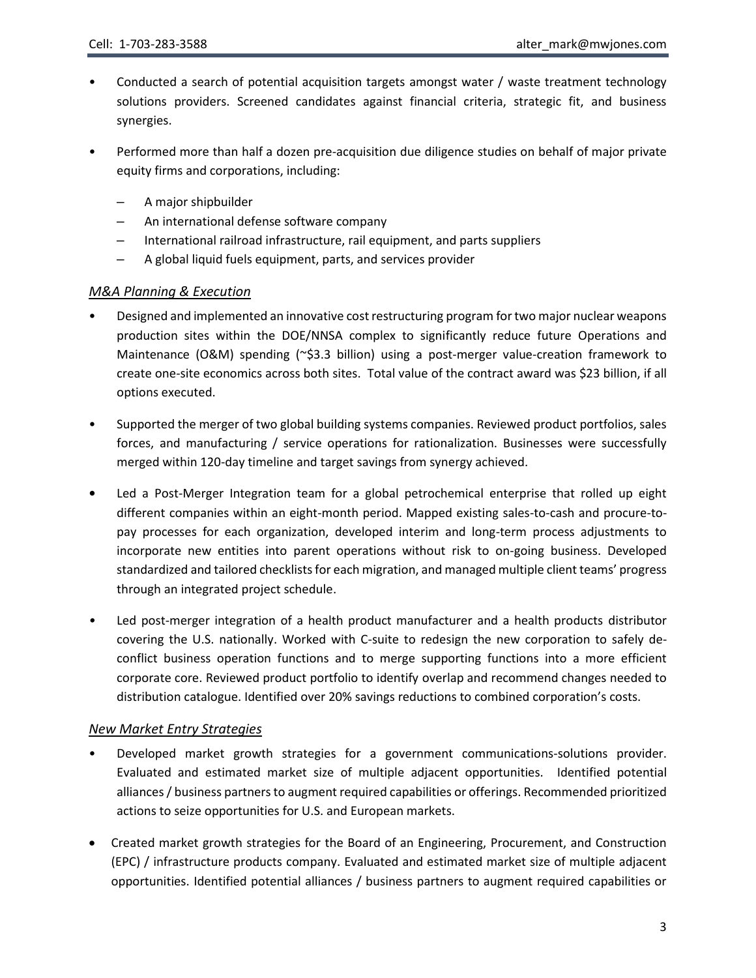- Conducted a search of potential acquisition targets amongst water / waste treatment technology solutions providers. Screened candidates against financial criteria, strategic fit, and business synergies.
- Performed more than half a dozen pre-acquisition due diligence studies on behalf of major private equity firms and corporations, including:
	- A major shipbuilder
	- An international defense software company
	- International railroad infrastructure, rail equipment, and parts suppliers
	- A global liquid fuels equipment, parts, and services provider

## *M&A Planning & Execution*

- Designed and implemented an innovative cost restructuring program for two major nuclear weapons production sites within the DOE/NNSA complex to significantly reduce future Operations and Maintenance (O&M) spending (~\$3.3 billion) using a post-merger value-creation framework to create one-site economics across both sites. Total value of the contract award was \$23 billion, if all options executed.
- Supported the merger of two global building systems companies. Reviewed product portfolios, sales forces, and manufacturing / service operations for rationalization. Businesses were successfully merged within 120-day timeline and target savings from synergy achieved.
- **•** Led a Post-Merger Integration team for a global petrochemical enterprise that rolled up eight different companies within an eight-month period. Mapped existing sales-to-cash and procure-topay processes for each organization, developed interim and long-term process adjustments to incorporate new entities into parent operations without risk to on-going business. Developed standardized and tailored checklists for each migration, and managed multiple client teams' progress through an integrated project schedule.
- *•* Led post-merger integration of a health product manufacturer and a health products distributor covering the U.S. nationally. Worked with C-suite to redesign the new corporation to safely deconflict business operation functions and to merge supporting functions into a more efficient corporate core. Reviewed product portfolio to identify overlap and recommend changes needed to distribution catalogue. Identified over 20% savings reductions to combined corporation's costs.

### *New Market Entry Strategies*

- Developed market growth strategies for a government communications-solutions provider. Evaluated and estimated market size of multiple adjacent opportunities. Identified potential alliances / business partners to augment required capabilities or offerings. Recommended prioritized actions to seize opportunities for U.S. and European markets.
- Created market growth strategies for the Board of an Engineering, Procurement, and Construction (EPC) / infrastructure products company. Evaluated and estimated market size of multiple adjacent opportunities. Identified potential alliances / business partners to augment required capabilities or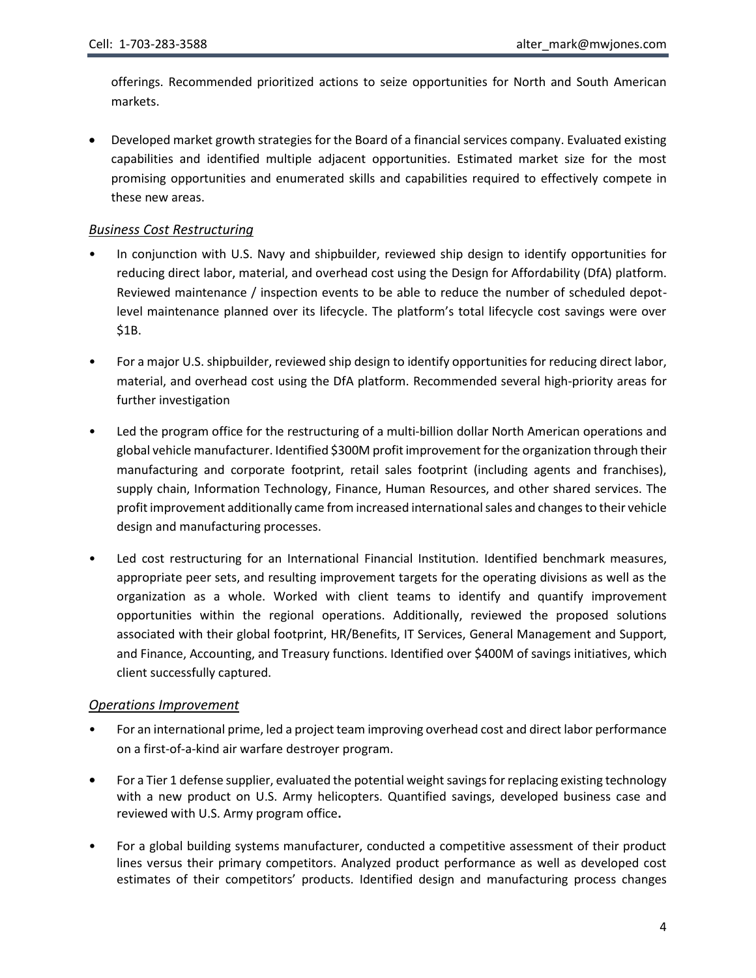offerings. Recommended prioritized actions to seize opportunities for North and South American markets.

• Developed market growth strategies for the Board of a financial services company. Evaluated existing capabilities and identified multiple adjacent opportunities. Estimated market size for the most promising opportunities and enumerated skills and capabilities required to effectively compete in these new areas.

#### *Business Cost Restructuring*

- In conjunction with U.S. Navy and shipbuilder, reviewed ship design to identify opportunities for reducing direct labor, material, and overhead cost using the Design for Affordability (DfA) platform. Reviewed maintenance / inspection events to be able to reduce the number of scheduled depotlevel maintenance planned over its lifecycle. The platform's total lifecycle cost savings were over \$1B.
- For a major U.S. shipbuilder, reviewed ship design to identify opportunities for reducing direct labor, material, and overhead cost using the DfA platform. Recommended several high-priority areas for further investigation
- Led the program office for the restructuring of a multi-billion dollar North American operations and global vehicle manufacturer. Identified \$300M profit improvement for the organization through their manufacturing and corporate footprint, retail sales footprint (including agents and franchises), supply chain, Information Technology, Finance, Human Resources, and other shared services. The profit improvement additionally came from increased international sales and changes to their vehicle design and manufacturing processes.
- Led cost restructuring for an International Financial Institution. Identified benchmark measures, appropriate peer sets, and resulting improvement targets for the operating divisions as well as the organization as a whole. Worked with client teams to identify and quantify improvement opportunities within the regional operations. Additionally, reviewed the proposed solutions associated with their global footprint, HR/Benefits, IT Services, General Management and Support, and Finance, Accounting, and Treasury functions. Identified over \$400M of savings initiatives, which client successfully captured.

#### *Operations Improvement*

- For an international prime, led a project team improving overhead cost and direct labor performance on a first-of-a-kind air warfare destroyer program.
- **•** For a Tier 1 defense supplier, evaluated the potential weight savings for replacing existing technology with a new product on U.S. Army helicopters. Quantified savings, developed business case and reviewed with U.S. Army program office**.**
- For a global building systems manufacturer, conducted a competitive assessment of their product lines versus their primary competitors. Analyzed product performance as well as developed cost estimates of their competitors' products. Identified design and manufacturing process changes